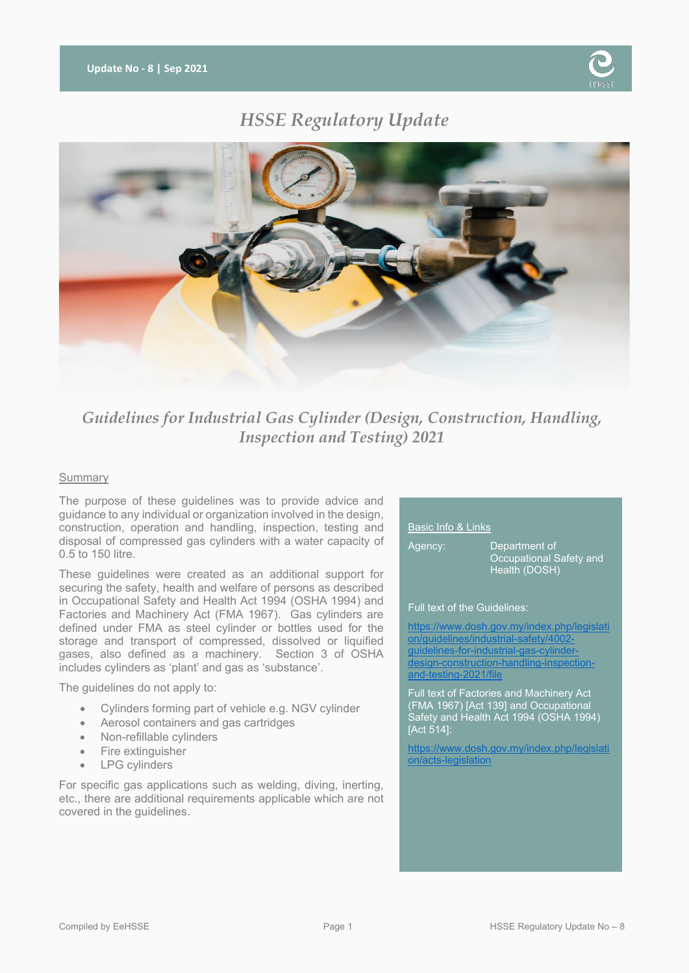

# *HSSE Regulatory Update*



# *Guidelines for Industrial Gas Cylinder (Design, Construction, Handling, Inspection and Testing) 2021*

## Summary

The purpose of these guidelines was to provide advice and guidance to any individual or organization involved in the design, construction, operation and handling, inspection, testing and disposal of compressed gas cylinders with a water capacity of 0.5 to 150 litre.

These guidelines were created as an additional support for securing the safety, health and welfare of persons as described in Occupational Safety and Health Act 1994 (OSHA 1994) and Factories and Machinery Act (FMA 1967). Gas cylinders are defined under FMA as steel cylinder or bottles used for the storage and transport of compressed, dissolved or liquified gases, also defined as a machinery. Section 3 of OSHA includes cylinders as 'plant' and gas as 'substance'.

The guidelines do not apply to:

- Cylinders forming part of vehicle e.g. NGV cylinder
- Aerosol containers and gas cartridges
- Non-refillable cylinders
- Fire extinguisher
- LPG cylinders

For specific gas applications such as welding, diving, inerting, etc., there are additional requirements applicable which are not covered in the guidelines.

#### Basic Info & Links

Agency: Department of Occupational Safety and Health (DOSH)

#### Full text of the Guidelines:

[https://www.dosh.gov.my/index.php/legislati](https://www.dosh.gov.my/index.php/legislation/guidelines/industrial-safety/4002-guidelines-for-industrial-gas-cylinder-design-construction-handling-inspection-and-testing-2021/file) [on/guidelines/industrial-safety/4002](https://www.dosh.gov.my/index.php/legislation/guidelines/industrial-safety/4002-guidelines-for-industrial-gas-cylinder-design-construction-handling-inspection-and-testing-2021/file) [guidelines-for-industrial-gas-cylinder](https://www.dosh.gov.my/index.php/legislation/guidelines/industrial-safety/4002-guidelines-for-industrial-gas-cylinder-design-construction-handling-inspection-and-testing-2021/file)gn-construction-handling-inspection[and-testing-2021/file](https://www.dosh.gov.my/index.php/legislation/guidelines/industrial-safety/4002-guidelines-for-industrial-gas-cylinder-design-construction-handling-inspection-and-testing-2021/file)

Full text of Factories and Machinery Act (FMA 1967) [Act 139] and Occupational Safety and Health Act 1994 (OSHA 1994) [Act 514]:

[https://www.dosh.gov.my/index.php/legislati](https://www.dosh.gov.my/index.php/legislation/acts-legislation) [on/acts-legislation](https://www.dosh.gov.my/index.php/legislation/acts-legislation)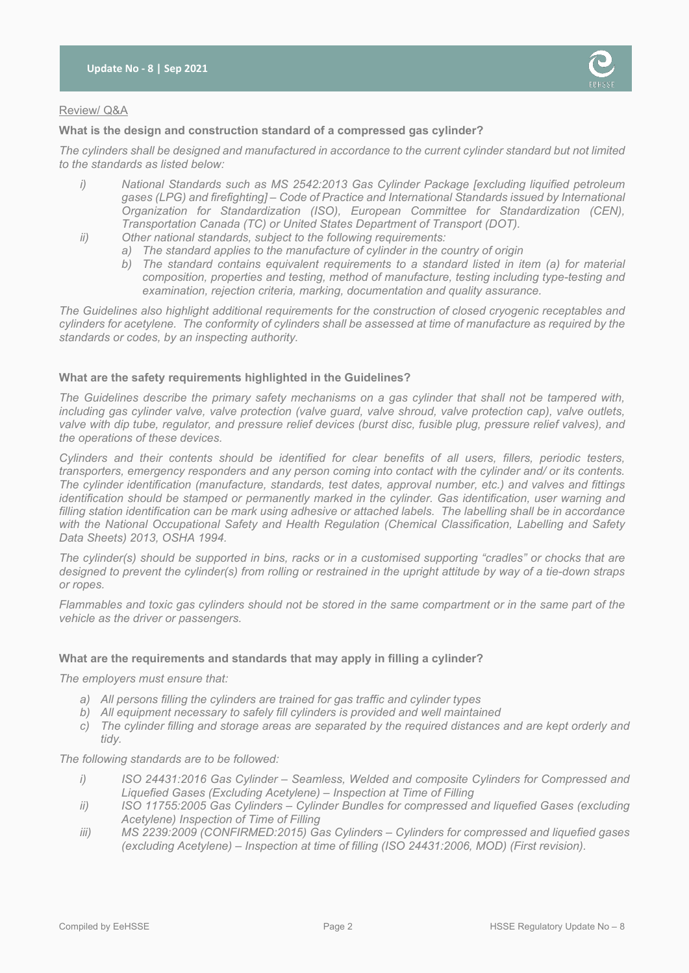

## Review/ Q&A

#### **What is the design and construction standard of a compressed gas cylinder?**

*The cylinders shall be designed and manufactured in accordance to the current cylinder standard but not limited to the standards as listed below:*

- *i) National Standards such as MS 2542:2013 Gas Cylinder Package [excluding liquified petroleum gases (LPG) and firefighting] – Code of Practice and International Standards issued by International Organization for Standardization (ISO), European Committee for Standardization (CEN), Transportation Canada (TC) or United States Department of Transport (DOT).*
- *ii) Other national standards, subject to the following requirements:*
	- *a) The standard applies to the manufacture of cylinder in the country of origin*
		- *b) The standard contains equivalent requirements to a standard listed in item (a) for material composition, properties and testing, method of manufacture, testing including type-testing and examination, rejection criteria, marking, documentation and quality assurance.*

*The Guidelines also highlight additional requirements for the construction of closed cryogenic receptables and cylinders for acetylene. The conformity of cylinders shall be assessed at time of manufacture as required by the standards or codes, by an inspecting authority.* 

#### **What are the safety requirements highlighted in the Guidelines?**

*The Guidelines describe the primary safety mechanisms on a gas cylinder that shall not be tampered with, including gas cylinder valve, valve protection (valve guard, valve shroud, valve protection cap), valve outlets, valve with dip tube, regulator, and pressure relief devices (burst disc, fusible plug, pressure relief valves), and the operations of these devices.* 

*Cylinders and their contents should be identified for clear benefits of all users, fillers, periodic testers, transporters, emergency responders and any person coming into contact with the cylinder and/ or its contents. The cylinder identification (manufacture, standards, test dates, approval number, etc.) and valves and fittings identification should be stamped or permanently marked in the cylinder. Gas identification, user warning and filling station identification can be mark using adhesive or attached labels. The labelling shall be in accordance with the National Occupational Safety and Health Regulation (Chemical Classification, Labelling and Safety Data Sheets) 2013, OSHA 1994.*

*The cylinder(s) should be supported in bins, racks or in a customised supporting "cradles" or chocks that are designed to prevent the cylinder(s) from rolling or restrained in the upright attitude by way of a tie-down straps or ropes.*

*Flammables and toxic gas cylinders should not be stored in the same compartment or in the same part of the vehicle as the driver or passengers.*

## **What are the requirements and standards that may apply in filling a cylinder?**

*The employers must ensure that:*

- *a) All persons filling the cylinders are trained for gas traffic and cylinder types*
- *b) All equipment necessary to safely fill cylinders is provided and well maintained*
- *c) The cylinder filling and storage areas are separated by the required distances and are kept orderly and tidy.*

*The following standards are to be followed:*

- *i) ISO 24431:2016 Gas Cylinder – Seamless, Welded and composite Cylinders for Compressed and Liquefied Gases (Excluding Acetylene) – Inspection at Time of Filling*
- *ii) ISO 11755:2005 Gas Cylinders – Cylinder Bundles for compressed and liquefied Gases (excluding Acetylene) Inspection of Time of Filling*
- *iii) MS 2239:2009 (CONFIRMED:2015) Gas Cylinders – Cylinders for compressed and liquefied gases (excluding Acetylene) – Inspection at time of filling (ISO 24431:2006, MOD) (First revision).*